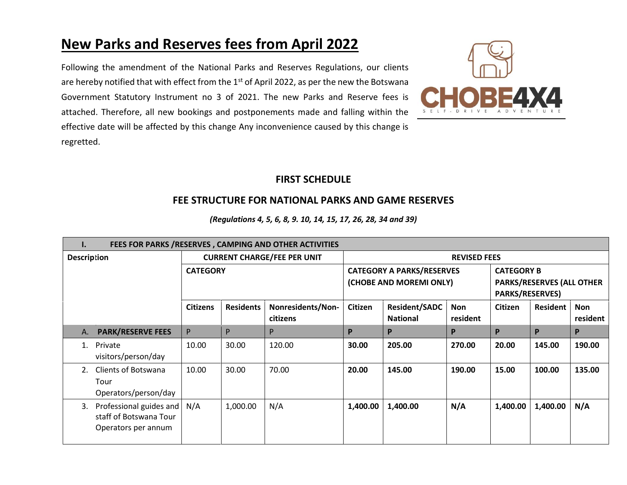## **New Parks and Reserves fees from April 2022**

Following the amendment of the National Parks and Reserves Regulations, our clients are hereby notified that with effect from the 1st of April 2022, as per the new the Botswana Government Statutory Instrument no 3 of 2021. The new Parks and Reserve fees is attached. Therefore, all new bookings and postponements made and falling within the effective date will be affected by this change Any inconvenience caused by this change is regretted.



## **FIRST SCHEDULE**

## **FEE STRUCTURE FOR NATIONAL PARKS AND GAME RESERVES**

| FEES FOR PARKS /RESERVES, CAMPING AND OTHER ACTIVITIES<br>I.                   |                                    |                  |                                                             |                     |                                         |                                                                                 |                |                 |                        |  |
|--------------------------------------------------------------------------------|------------------------------------|------------------|-------------------------------------------------------------|---------------------|-----------------------------------------|---------------------------------------------------------------------------------|----------------|-----------------|------------------------|--|
| <b>Description</b>                                                             | <b>CURRENT CHARGE/FEE PER UNIT</b> |                  |                                                             | <b>REVISED FEES</b> |                                         |                                                                                 |                |                 |                        |  |
| <b>CATEGORY</b>                                                                |                                    |                  | <b>CATEGORY A PARKS/RESERVES</b><br>(CHOBE AND MOREMI ONLY) |                     |                                         | <b>CATEGORY B</b><br><b>PARKS/RESERVES (ALL OTHER</b><br><b>PARKS/RESERVES)</b> |                |                 |                        |  |
|                                                                                | <b>Citizens</b>                    | <b>Residents</b> | Nonresidents/Non-<br>citizens                               | Citizen             | <b>Resident/SADC</b><br><b>National</b> | Non<br>resident                                                                 | <b>Citizen</b> | <b>Resident</b> | <b>Non</b><br>resident |  |
| <b>PARK/RESERVE FEES</b><br>A.                                                 | P                                  | P                | P                                                           | P                   | P                                       | P                                                                               | P              | P               | P                      |  |
| Private<br>$1_{-}$<br>visitors/person/day                                      | 10.00                              | 30.00            | 120.00                                                      | 30.00               | 205.00                                  | 270.00                                                                          | 20.00          | 145.00          | 190.00                 |  |
| <b>Clients of Botswana</b><br>2.<br>Tour<br>Operators/person/day               | 10.00                              | 30.00            | 70.00                                                       | 20.00               | 145.00                                  | 190.00                                                                          | 15.00          | 100.00          | 135.00                 |  |
| Professional guides and<br>3.<br>staff of Botswana Tour<br>Operators per annum | N/A                                | 1,000.00         | N/A                                                         | 1,400.00            | 1,400.00                                | N/A                                                                             | 1,400.00       | 1,400.00        | N/A                    |  |

*(Regulations 4, 5, 6, 8, 9. 10, 14, 15, 17, 26, 28, 34 and 39)*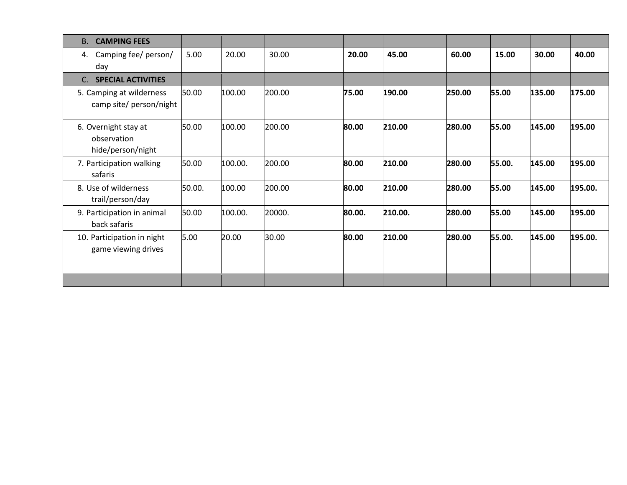| <b>CAMPING FEES</b><br><b>B.</b>                         |        |         |        |        |         |        |        |        |         |
|----------------------------------------------------------|--------|---------|--------|--------|---------|--------|--------|--------|---------|
| Camping fee/ person/<br>4.<br>day                        | 5.00   | 20.00   | 30.00  | 20.00  | 45.00   | 60.00  | 15.00  | 30.00  | 40.00   |
| <b>SPECIAL ACTIVITIES</b><br>C.                          |        |         |        |        |         |        |        |        |         |
| 5. Camping at wilderness<br>camp site/ person/night      | 50.00  | 100.00  | 200.00 | 75.00  | 190.00  | 250.00 | 55.00  | 135.00 | 175.00  |
| 6. Overnight stay at<br>observation<br>hide/person/night | 50.00  | 100.00  | 200.00 | 80.00  | 210.00  | 280.00 | 55.00  | 145.00 | 195.00  |
| 7. Participation walking<br>safaris                      | 50.00  | 100.00. | 200.00 | 80.00  | 210.00  | 280.00 | 55.00. | 145.00 | 195.00  |
| 8. Use of wilderness<br>trail/person/day                 | 50.00. | 100.00  | 200.00 | 80.00  | 210.00  | 280.00 | 55.00  | 145.00 | 195.00. |
| 9. Participation in animal<br>back safaris               | 50.00  | 100.00. | 20000. | 80.00. | 210.00. | 280.00 | 55.00  | 145.00 | 195.00  |
| 10. Participation in night<br>game viewing drives        | 5.00   | 20.00   | 30.00  | 80.00  | 210.00  | 280.00 | 55.00. | 145.00 | 195.00. |
|                                                          |        |         |        |        |         |        |        |        |         |